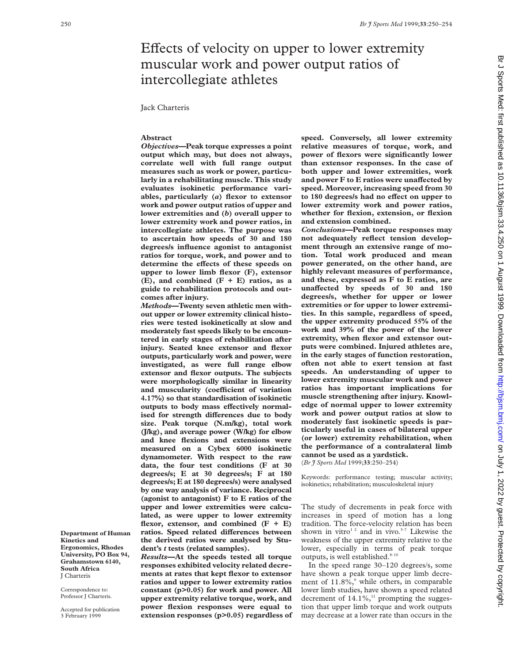# Effects of velocity on upper to lower extremity muscular work and power output ratios of intercollegiate athletes

Jack Charteris

# **Abstract**

*Objectives***—Peak torque expresses a point output which may, but does not always, correlate well with full range output measures such as work or power, particularly in a rehabilitating muscle. This study evaluates isokinetic performance variables, particularly (***a***) flexor to extensor work and power output ratios of upper and lower extremities and (***b***) overall upper to lower extremity work and power ratios, in intercollegiate athletes. The purpose was to ascertain how speeds of 30 and 180 degrees/s influence agonist to antagonist ratios for torque, work, and power and to** determine the effects of these speeds on **upper to lower limb flexor (F), extensor (E), and combined (F + E) ratios, as a guide to rehabilitation protocols and outcomes after injury.**

*Methods***—Twenty seven athletic men without upper or lower extremity clinical histories were tested isokinetically at slow and moderately fast speeds likely to be encountered in early stages of rehabilitation after injury. Seated knee extensor and flexor outputs, particularly work and power, were investigated, as were full range elbow extensor and flexor outputs. The subjects were morphologically similar in linearity and muscularity (coefficient of variation 4.17%) so that standardisation of isokinetic** outputs to body mass effectively normalised for strength differences due to body **size. Peak torque (N.m/kg), total work (J/kg), and average power (W/kg) for elbow and knee flexions and extensions were measured on a Cybex 6000 isokinetic dynamometer. With respect to the raw data, the four test conditions (F at 30 degrees/s; E at 30 degrees/s; F at 180 degrees/s; E at 180 degrees/s) were analysed by one way analysis of variance. Reciprocal (agonist to antagonist) F to E ratios of the upper and lower extremities were calculated, as were upper to lower extremity flexor, extensor, and combined (F + E)** ratios. Speed related differences between **the derived ratios were analysed by Student's** *t* **tests (related samples).**

*Results***—At the speeds tested all torque responses exhibited velocity related decrements at rates that kept flexor to extensor ratios and upper to lower extremity ratios constant (p>0.05) for work and power. All upper extremity relative torque, work, and power flexion responses were equal to extension responses (p>0.05) regardless of** **speed. Conversely, all lower extremity relative measures of torque, work, and power of flexors were significantly lower than extensor responses. In the case of both upper and lower extremities, work** and power F to E ratios were unaffected by **speed. Moreover, increasing speed from 30** to 180 degrees/s had no effect on upper to **lower extremity work and power ratios, whether for flexion, extension, or flexion and extension combined.**

*Conclusions***—Peak torque responses may not adequately reflect tension development through an extensive range of motion. Total work produced and mean power generated, on the other hand, are highly relevant measures of performance, and these, expressed as F to E ratios, are** unaffected by speeds of 30 and 180 **degrees/s, whether for upper or lower extremities or for upper to lower extremities. In this sample, regardless of speed, the upper extremity produced 55% of the work and 39% of the power of the lower extremity, when flexor and extensor outputs were combined. Injured athletes are, in the early stages of function restoration, often not able to exert tension at fast speeds. An understanding of upper to lower extremity muscular work and power ratios has important implications for muscle strengthening after injury. Knowledge of normal upper to lower extremity work and power output ratios at slow to moderately fast isokinetic speeds is particularly useful in cases of bilateral upper (or lower) extremity rehabilitation, when the performance of a contralateral limb cannot be used as a yardstick.** (*Br J Sports Med* 1999;**33**:250–254)

Keywords: performance testing; muscular activity; isokinetics; rehabilitation; musculoskeletal injury

The study of decrements in peak force with increases in speed of motion has a long tradition. The force-velocity relation has been shown in vitro<sup>12</sup> and in vivo.<sup>3-7</sup> Likewise the weakness of the upper extremity relative to the lower, especially in terms of peak torque outputs, is well established. $8-10$ 

In the speed range 30–120 degrees/s, some have shown a peak torque upper limb decrement of  $11.8\%$ , while others, in comparable lower limb studies, have shown a speed related decrement of  $14.1\%$ ,<sup>11</sup> prompting the suggestion that upper limb torque and work outputs may decrease at a lower rate than occurs in the

**Department of Human Kinetics and Ergonomics, Rhodes University, PO Box 94, Grahamstown 6140, South Africa** J Charteris

Correspondence to: Professor J Charteris.

Accepted for publication 3 February 1999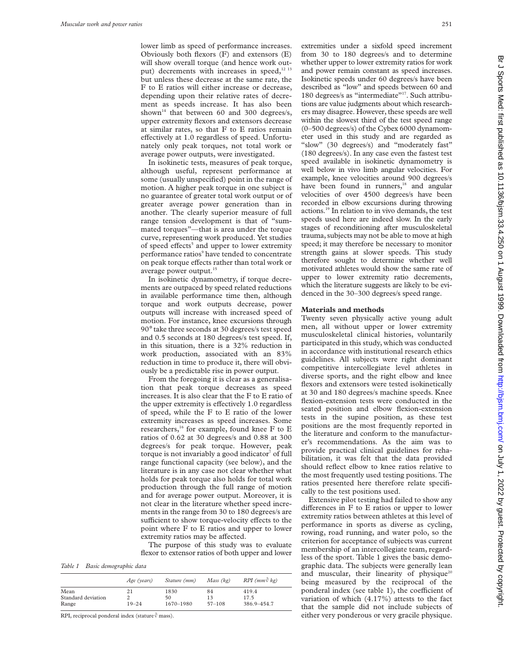lower limb as speed of performance increases. Obviously both flexors (F) and extensors (E) will show overall torque (and hence work output) decrements with increases in speed, $12^{13}$ but unless these decrease at the same rate, the F to E ratios will either increase or decrease, depending upon their relative rates of decrement as speeds increase. It has also been shown<sup>14</sup> that between 60 and 300 degrees/s, upper extremity flexors and extensors decrease at similar rates, so that F to E ratios remain effectively at 1.0 regardless of speed. Unfortunately only peak torques, not total work or average power outputs, were investigated.

In isokinetic tests, measures of peak torque, although useful, represent performance at some (usually unspecified) point in the range of motion. A higher peak torque in one subject is no guarantee of greater total work output or of greater average power generation than in another. The clearly superior measure of full range tension development is that of "summated torques"—that is area under the torque curve, representing work produced. Yet studies of speed effects<sup>5</sup> and upper to lower extremity performance ratios<sup>9</sup> have tended to concentrate on peak torque effects rather than total work or average power output.<sup>15</sup>

In isokinetic dynamometry, if torque decrements are outpaced by speed related reductions in available performance time then, although torque and work outputs decrease, power outputs will increase with increased speed of motion. For instance, knee excursions through 90° take three seconds at 30 degrees/s test speed and 0.5 seconds at 180 degrees/s test speed. If, in this situation, there is a 32% reduction in work production, associated with an 83% reduction in time to produce it, there will obviously be a predictable rise in power output.

From the foregoing it is clear as a generalisation that peak torque decreases as speed increases. It is also clear that the F to E ratio of the upper extremity is effectively 1.0 regardless of speed, while the F to E ratio of the lower extremity increases as speed increases. Some researchers,<sup>16</sup> for example, found knee F to E ratios of 0.62 at 30 degrees/s and 0.88 at 300 degrees/s for peak torque. However, peak torque is not invariably a good indicator $7$  of full range functional capacity (see below), and the literature is in any case not clear whether what holds for peak torque also holds for total work production through the full range of motion and for average power output. Moreover, it is not clear in the literature whether speed increments in the range from 30 to 180 degrees/s are sufficient to show torque-velocity effects to the point where F to E ratios and upper to lower extremity ratios may be affected.

The purpose of this study was to evaluate flexor to extensor ratios of both upper and lower

*Table 1 Basic demographic data*

|                    | Age (years) | Stature (mm) | Mass (kg)  | $RPI$ (mm $\sqrt[3]{kg}$ ) |
|--------------------|-------------|--------------|------------|----------------------------|
| Mean               | 21          | 1830         | 84         | 419.4                      |
| Standard deviation |             | 50           | 13         | 17.5                       |
| Range              | $19 - 24$   | 1670-1980    | $57 - 108$ | 386.9-454.7                |

RPI, reciprocal ponderal index (stature  $\sqrt[3]{$  mass).

extremities under a sixfold speed increment from 30 to 180 degrees/s and to determine whether upper to lower extremity ratios for work and power remain constant as speed increases. Isokinetic speeds under 60 degrees/s have been described as "low" and speeds between 60 and 180 degrees/s as "intermediate"<sup>17</sup>. Such attributions are value judgments about which researchers may disagree. However, these speeds are well within the slowest third of the test speed range (0–500 degrees/s) of the Cybex 6000 dynamometer used in this study and are regarded as "slow" (30 degrees/s) and "moderately fast" (180 degrees/s). In any case even the fastest test speed available in isokinetic dynamometry is well below in vivo limb angular velocities. For example, knee velocities around 900 degrees/s have been found in runners,<sup>18</sup> and angular velocities of over 4500 degrees/s have been recorded in elbow excursions during throwing actions.19 In relation to in vivo demands, the test speeds used here are indeed slow. In the early stages of reconditioning after musculoskeletal trauma, subjects may not be able to move at high speed; it may therefore be necessary to monitor strength gains at slower speeds. This study therefore sought to determine whether well motivated athletes would show the same rate of upper to lower extremity ratio decrements, which the literature suggests are likely to be evidenced in the 30–300 degrees/s speed range.

## **Materials and methods**

Twenty seven physically active young adult men, all without upper or lower extremity musculoskeletal clinical histories, voluntarily participated in this study, which was conducted in accordance with institutional research ethics guidelines. All subjects were right dominant competitive intercollegiate level athletes in diverse sports, and the right elbow and knee flexors and extensors were tested isokinetically at 30 and 180 degrees/s machine speeds. Knee flexion-extension tests were conducted in the seated position and elbow flexion-extension tests in the supine position, as these test positions are the most frequently reported in the literature and conform to the manufacturer's recommendations. As the aim was to provide practical clinical guidelines for rehabilitation, it was felt that the data provided should reflect elbow to knee ratios relative to the most frequently used testing positions. The ratios presented here therefore relate specifically to the test positions used.

Extensive pilot testing had failed to show any differences in  $F$  to  $E$  ratios or upper to lower extremity ratios between athletes at this level of performance in sports as diverse as cycling, rowing, road running, and water polo, so the criterion for acceptance of subjects was current membership of an intercollegiate team, regardless of the sport. Table 1 gives the basic demographic data. The subjects were generally lean and muscular, their linearity of physique<sup>20</sup> being measured by the reciprocal of the ponderal index (see table 1), the coefficient of variation of which (4.17%) attests to the fact that the sample did not include subjects of either very ponderous or very gracile physique.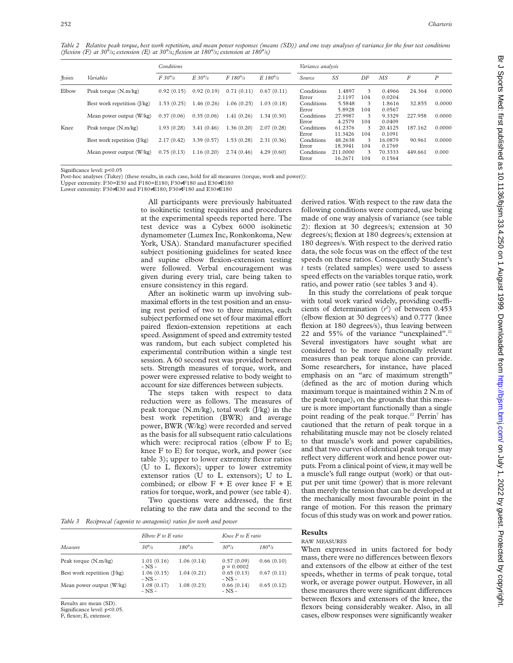*Table 2 Relative peak torque, best work repetition, and mean power responses (means (SD)) and one way analyses of variance for the four test conditions (flexion (F) at 30*°*/s; extension (E) at 30*°*/s; flexion at 180*°*/s; extension at 180*°*/s)*

|               |                               | Conditions    |                |                 | Variance analysis |                     |                     |          |                   |         |                  |
|---------------|-------------------------------|---------------|----------------|-----------------|-------------------|---------------------|---------------------|----------|-------------------|---------|------------------|
| <i>Foints</i> | Variables                     | $F30^\circ/s$ | $E.30^\circ/s$ | $F180^\circ$ /s | $E180^\circ$ /s   | Source              | SS                  | DF       | MS                | F       | $\boldsymbol{P}$ |
| Elbow         | Peak torque (N.m/kg)          | 0.92(0.15)    | 0.92(0.19)     | 0.71(0.11)      | 0.67(0.11)        | Conditions<br>Error | 1.4897<br>2.1197    | 3<br>104 | 0.4966<br>0.0204  | 24.364  | 0.0000           |
|               | Best work repetition $(I/kg)$ | 1.53(0.25)    | .46(0.26)      | 1.06(0.25)      | 1.03(0.18)        | Conditions<br>Error | 5.5848<br>5.8928    | 3<br>104 | 1.8616<br>0.0567  | 32.855  | 0.0000           |
|               | Mean power output (W/kg)      | 0.37(0.06)    | 0.35(0.06)     | 1.41(0.26)      | 1.34(0.30)        | Conditions<br>Error | 27.9987<br>4.2579   | 3<br>104 | 9.3329<br>0.0409  | 227.958 | 0.0000           |
| Knee          | Peak torque (N.m/kg)          | 1.93(0.28)    | 3.41(0.46)     | 1.36(0.20)      | 2.07(0.28)        | Conditions<br>Error | 61.2376<br>11.3426  | 3<br>104 | 20.4125<br>0.1091 | 187.162 | 0.0000           |
|               | Best work repetition (J/kg)   | 2.17(0.42)    | 3.39(0.57)     | 1.53(0.28)      | 2.31(0.36)        | Conditions<br>Error | 48.2638<br>18.3941  | 3<br>104 | 16.0879<br>0.1769 | 90.961  | 0.0000           |
|               | Mean power output (W/kg)      | 0.75(0.13)    | 1.16(0.20)     | 2.74(0.46)      | 4.29(0.60)        | Conditions<br>Error | 211.0000<br>16.2671 | 3<br>104 | 70.3333<br>0.1564 | 449.661 | 0.000            |

Significance level: p<0.05

Post-hoc analyses (Tukey) (these results, in each case, hold for all measures (torque, work and power)):

Upper extremity: F30=E30 and F180=E180; F30≠F180 and E30≠E180 Lower extremity: F30≠E30 and F180≠E180; F30≠F180 and E30≠E180

> All participants were previously habituated to isokinetic testing requisites and procedures at the experimental speeds reported here. The test device was a Cybex 6000 isokinetic dynamometer (Lumex Inc, Ronkonkoma, New York, USA). Standard manufacturer specified subject positioning guidelines for seated knee and supine elbow flexion-extension testing were followed. Verbal encouragement was given during every trial, care being taken to ensure consistency in this regard.

> After an isokinetic warm up involving submaximal efforts in the test position and an ensuing rest period of two to three minutes, each subject performed one set of four maximal effort paired flexion-extension repetitions at each speed. Assignment of speed and extremity tested was random, but each subject completed his experimental contribution within a single test session. A 60 second rest was provided between sets. Strength measures of torque, work, and power were expressed relative to body weight to account for size differences between subjects.

> The steps taken with respect to data reduction were as follows. The measures of peak torque (N.m/kg), total work (J/kg) in the best work repetition (BWR) and average power, BWR (W/kg) were recorded and served as the basis for all subsequent ratio calculations which were: reciprocal ratios (elbow F to E; knee F to E) for torque, work, and power (see table 3); upper to lower extremity flexor ratios (U to L flexors); upper to lower extremity extensor ratios (U to L extensors); U to L combined; or elbow  $F + E$  over knee  $F + E$ ratios for torque, work, and power (see table 4). Two questions were addressed, the first relating to the raw data and the second to the

*Table 3 Reciprocal (agonist to antagonist) ratios for work and power*

|                             | $ElbowF$ to $E$ ratio    |                | Knee F to E ratio          |               |  |
|-----------------------------|--------------------------|----------------|----------------------------|---------------|--|
| Measure                     | $30^\circ/s$             | $180^\circ$ /s | $30^\circ$ /s              | $180^\circ/s$ |  |
| Peak torque (N.m/kg)        | 1.01(0.16)<br>$-$ NS $-$ | 1.06(0.14)     | 0.57(0.09)<br>$p = 0.0002$ | 0.66(0.10)    |  |
| Best work repetition (J/kg) | 1.06(0.15)<br>$-$ NS $-$ | 1.04(0.21)     | 0.65(0.13)<br>$-$ NS $-$   | 0.67(0.11)    |  |
| Mean power output (W/kg)    | 1.08(0.17)<br>$-$ NS $-$ | 1.08(0.23)     | 0.66(0.14)<br>$-$ NS $-$   | 0.65(0.12)    |  |

Results are mean (SD).

Significance level: p<0.05

F, flexor; E, extensor.

derived ratios. With respect to the raw data the following conditions were compared, use being made of one way analysis of variance (see table 2): flexion at 30 degrees/s; extension at 30 degrees/s; flexion at 180 degrees/s; extension at 180 degrees/s. With respect to the derived ratio data, the sole focus was on the effect of the test speeds on these ratios. Consequently Student's *t* tests (related samples) were used to assess speed effects on the variables torque ratio, work ratio, and power ratio (see tables 3 and 4).

In this study the correlations of peak torque with total work varied widely, providing coefficients of determination  $(r^2)$  of between 0.453 (elbow flexion at 30 degrees/s) and 0.777 (knee flexion at 180 degrees/s), thus leaving between 22 and  $55\%$  of the variance "unexplained".<sup>21</sup> Several investigators have sought what are considered to be more functionally relevant measures than peak torque alone can provide. Some researchers, for instance, have placed emphasis on an "arc of maximum strength" (defined as the arc of motion during which maximum torque is maintained within 2 N.m of the peak torque), on the grounds that this measure is more important functionally than a single point reading of the peak torque.<sup>22</sup> Perrin<sup>7</sup> has cautioned that the return of peak torque in a rehabilitating muscle may not be closely related to that muscle's work and power capabilities, and that two curves of identical peak torque may reflect very different work and hence power outputs. From a clinical point of view, it may well be a muscle's full range output (work) or that output per unit time (power) that is more relevant than merely the tension that can be developed at the mechanically most favourable point in the range of motion. For this reason the primary focus of this study was on work and power ratios.

# **Results**

#### RAW MEASURES

When expressed in units factored for body mass, there were no differences between flexors and extensors of the elbow at either of the test speeds, whether in terms of peak torque, total work, or average power output. However, in all these measures there were significant differences between flexors and extensors of the knee, the flexors being considerably weaker. Also, in all cases, elbow responses were significantly weaker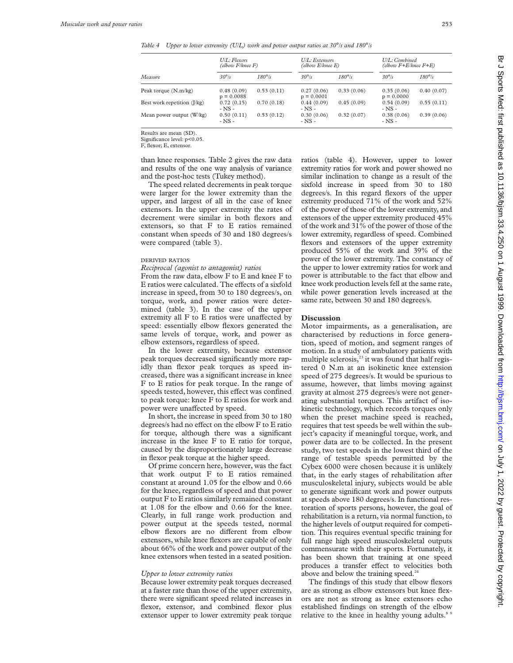*Table 4 Upper to lower extremity (U/L) work and power output ratios at 30*°*/s and 180*°*/s*

|                               | U/L: Flexors<br>(elbow F/knee F) |               | U/L: Extensors<br>(elbow E/knee E) |                | U/L: Combined<br>(elbow F+E/knee F+E) |                |  |
|-------------------------------|----------------------------------|---------------|------------------------------------|----------------|---------------------------------------|----------------|--|
| Measure                       | $30^\circ$ /s                    | $180^\circ/s$ | $30^\circ$ /s                      | $180^\circ$ /s | $30^{\circ}/s$                        | $180^\circ$ /s |  |
| Peak torque (N.m/kg)          | 0.48(0.09)<br>$p = 0.0088$       | 0.53(0.11)    | 0.27(0.06)<br>$p = 0.0001$         | 0.33(0.06)     | 0.35(0.06)<br>$p = 0.0000$            | 0.40(0.07)     |  |
| Best work repetition $(I/kg)$ | 0.72(0.15)<br>$-$ NS $-$         | 0.70(0.18)    | 0.44(0.09)<br>$-$ NS $-$           | 0.45(0.09)     | 0.54(0.09)<br>$-$ NS $-$              | 0.55(0.11)     |  |
| Mean power output (W/kg)      | 0.50(0.11)<br>$-$ NS $-$         | 0.53(0.12)    | 0.30(0.06)<br>- NS -               | 0.32(0.07)     | 0.38(0.06)<br>$-$ NS $-$              | 0.39(0.06)     |  |

Results are mean (SD).

Significance level: p<0.05.

F, flexor; E, extensor.

than knee responses. Table 2 gives the raw data and results of the one way analysis of variance and the post-hoc tests (Tukey method).

The speed related decrements in peak torque were larger for the lower extremity than the upper, and largest of all in the case of knee extensors. In the upper extremity the rates of decrement were similar in both flexors and extensors, so that F to E ratios remained constant when speeds of 30 and 180 degrees/s were compared (table 3).

# DERIVED RATIOS

*Reciprocal (agonist to antagonist) ratios*

From the raw data, elbow F to E and knee F to E ratios were calculated. The effects of a sixfold increase in speed, from 30 to 180 degrees/s, on torque, work, and power ratios were determined (table 3). In the case of the upper extremity all F to E ratios were unaffected by speed: essentially elbow flexors generated the same levels of torque, work, and power as elbow extensors, regardless of speed.

In the lower extremity, because extensor peak torques decreased significantly more rapidly than flexor peak torques as speed increased, there was a significant increase in knee F to E ratios for peak torque. In the range of speeds tested, however, this effect was confined to peak torque: knee F to E ratios for work and power were unaffected by speed.

In short, the increase in speed from 30 to 180 degrees/s had no effect on the elbow F to E ratio for torque, although there was a significant increase in the knee F to E ratio for torque, caused by the disproportionately large decrease in flexor peak torque at the higher speed.

Of prime concern here, however, was the fact that work output F to E ratios remained constant at around 1.05 for the elbow and 0.66 for the knee, regardless of speed and that power output F to E ratios similarly remained constant at 1.08 for the elbow and 0.66 for the knee. Clearly, in full range work production and power output at the speeds tested, normal elbow flexors are no different from elbow extensors, while knee flexors are capable of only about 66% of the work and power output of the knee extensors when tested in a seated position.

## *Upper to lower extremity ratios*

Because lower extremity peak torques decreased at a faster rate than those of the upper extremity, there were significant speed related increases in flexor, extensor, and combined flexor plus extensor upper to lower extremity peak torque ratios (table 4). However, upper to lower extremity ratios for work and power showed no similar inclination to change as a result of the sixfold increase in speed from 30 to 180 degrees/s. In this regard flexors of the upper extremity produced 71% of the work and 52% of the power of those of the lower extremity, and extensors of the upper extremity produced 45% of the work and 31% of the power of those of the lower extremity, regardless of speed. Combined flexors and extensors of the upper extremity produced 55% of the work and 39% of the power of the lower extremity. The constancy of the upper to lower extremity ratios for work and power is attributable to the fact that elbow and knee work production levels fell at the same rate, while power generation levels increased at the same rate, between 30 and 180 degrees/s.

# **Discussion**

Motor impairments, as a generalisation, are characterised by reductions in force generation, speed of motion, and segment ranges of motion. In a study of ambulatory patients with multiple sclerosis, $23$  it was found that half registered 0 N.m at an isokinetic knee extension speed of 275 degrees/s. It would be spurious to assume, however, that limbs moving against gravity at almost 275 degrees/s were not generating substantial torques. This artifact of isokinetic technology, which records torques only when the preset machine speed is reached, requires that test speeds be well within the subject's capacity if meaningful torque, work, and power data are to be collected. In the present study, two test speeds in the lowest third of the range of testable speeds permitted by the Cybex 6000 were chosen because it is unlikely that, in the early stages of rehabilitation after musculoskeletal injury, subjects would be able to generate significant work and power outputs at speeds above 180 degrees/s. In functional restoration of sports persons, however, the goal of rehabilitation is a return, via normal function, to the higher levels of output required for competition. This requires eventual specific training for full range high speed musculoskeletal outputs commensurate with their sports. Fortunately, it has been shown that training at one speed produces a transfer effect to velocities both above and below the training speed.<sup>24</sup>

The findings of this study that elbow flexors are as strong as elbow extensors but knee flexors are not as strong as knee extensors echo established findings on strength of the elbow relative to the knee in healthy young adults.<sup>8</sup>